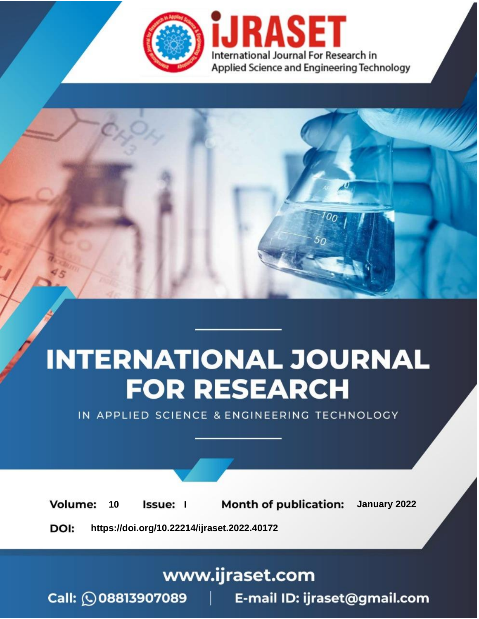

# **INTERNATIONAL JOURNAL FOR RESEARCH**

IN APPLIED SCIENCE & ENGINEERING TECHNOLOGY

**Month of publication:** January 2022 **Volume:** 10 **Issue:** I

DOI: https://doi.org/10.22214/ijraset.2022.40172

www.ijraset.com

Call: 008813907089 | E-mail ID: ijraset@gmail.com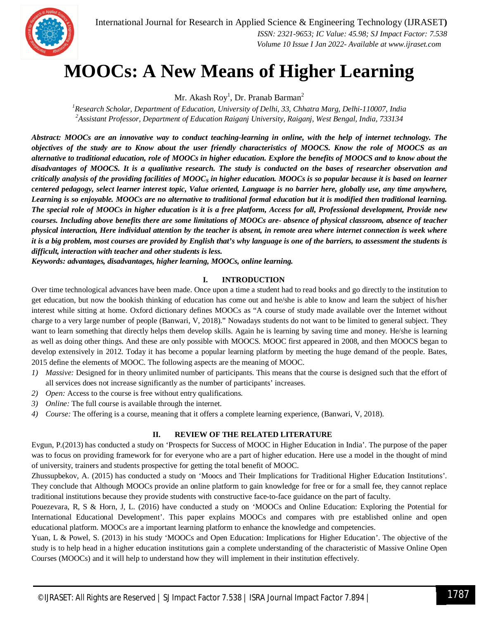

### **MOOCs: A New Means of Higher Learning**

Mr. Akash Roy<sup>1</sup>, Dr. Pranab Barman<sup>2</sup>

*<sup>1</sup>Research Scholar, Department of Education, University of Delhi, 33, Chhatra Marg, Delhi-110007, India <sup>2</sup>Assistant Professor, Department of Education Raiganj University, Raiganj, West Bengal, India, 733134*

*Abstract: MOOCs are an innovative way to conduct teaching-learning in online, with the help of internet technology. The objectives of the study are to Know about the user friendly characteristics of MOOCS. Know the role of MOOCS as an alternative to traditional education, role of MOOCs in higher education. Explore the benefits of MOOCS and to know about the disadvantages of MOOCS. It is a qualitative research. The study is conducted on the bases of researcher observation and critically analysis of the providing facilities of MOOC<sup>S</sup> in higher education. MOOCs is so popular because it is based on learner centered pedagogy, select learner interest topic, Value oriented, Language is no barrier here, globally use, any time anywhere, Learning is so enjoyable. MOOCs are no alternative to traditional formal education but it is modified then traditional learning. The special role of MOOCs in higher education is it is a free platform, Access for all, Professional development, Provide new courses. Including above benefits there are some limitations of MOOCs are- absence of physical classroom, absence of teacher physical interaction, Here individual attention by the teacher is absent, in remote area where internet connection is week where it is a big problem, most courses are provided by English that's why language is one of the barriers, to assessment the students is difficult, interaction with teacher and other students is less.*

*Keywords: advantages, disadvantages, higher learning, MOOCs, online learning.*

#### **I. INTRODUCTION**

Over time technological advances have been made. Once upon a time a student had to read books and go directly to the institution to get education, but now the bookish thinking of education has come out and he/she is able to know and learn the subject of his/her interest while sitting at home. Oxford dictionary defines MOOCs as "A course of study made available over the Internet without charge to a very large number of people (Banwari, V, 2018)." Nowadays students do not want to be limited to general subject. They want to learn something that directly helps them develop skills. Again he is learning by saving time and money. He/she is learning as well as doing other things. And these are only possible with MOOCS. MOOC first appeared in 2008, and then MOOCS began to develop extensively in 2012. Today it has become a popular learning platform by meeting the huge demand of the people. Bates, 2015 define the elements of MOOC. The following aspects are the meaning of MOOC.

- *1) Massive:* Designed for in theory unlimited number of participants. This means that the course is designed such that the effort of all services does not increase significantly as the number of participants' increases.
- *2) Open:* Access to the course is free without entry qualifications.
- *3) Online:* The full course is available through the internet.
- *4) Course:* The offering is a course, meaning that it offers a complete learning experience, (Banwari, V, 2018).

#### **II. REVIEW OF THE RELATED LITERATURE**

Evgun, P.(2013) has conducted a study on 'Prospects for Success of MOOC in Higher Education in India'. The purpose of the paper was to focus on providing framework for for everyone who are a part of higher education. Here use a model in the thought of mind of university, trainers and students prospective for getting the total benefit of MOOC.

Zhussupbekov, A. (2015) has conducted a study on 'Moocs and Their Implications for Traditional Higher Education Institutions'. They conclude that Although MOOCs provide an online platform to gain knowledge for free or for a small fee, they cannot replace traditional institutions because they provide students with constructive face-to-face guidance on the part of faculty.

Pouezevara, R, S & Horn, J, L. (2016) have conducted a study on 'MOOCs and Online Education: Exploring the Potential for International Educational Development'. This paper explains MOOCs and compares with pre established online and open educational platform. MOOCs are a important learning platform to enhance the knowledge and competencies.

Yuan, L & Powel, S. (2013) in his study 'MOOCs and Open Education: Implications for Higher Education'. The objective of the study is to help head in a higher education institutions gain a complete understanding of the characteristic of Massive Online Open Courses (MOOCs) and it will help to understand how they will implement in their institution effectively.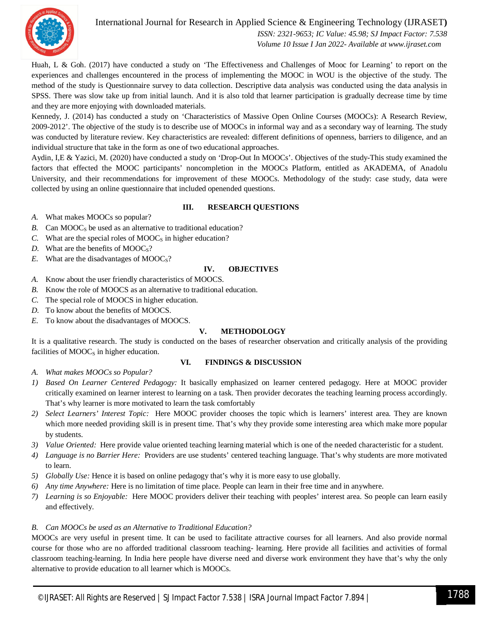

#### International Journal for Research in Applied Science & Engineering Technology (IJRASET**)**

 *ISSN: 2321-9653; IC Value: 45.98; SJ Impact Factor: 7.538 Volume 10 Issue I Jan 2022- Available at www.ijraset.com*

Huah, L & Goh. (2017) have conducted a study on 'The Effectiveness and Challenges of Mooc for Learning' to report on the experiences and challenges encountered in the process of implementing the MOOC in WOU is the objective of the study. The method of the study is Questionnaire survey to data collection. Descriptive data analysis was conducted using the data analysis in SPSS. There was slow take up from initial launch. And it is also told that learner participation is gradually decrease time by time and they are more enjoying with downloaded materials.

Kennedy, J. (2014) has conducted a study on 'Characteristics of Massive Open Online Courses (MOOCs): A Research Review, 2009-2012'. The objective of the study is to describe use of MOOCs in informal way and as a secondary way of learning. The study was conducted by literature review. Key characteristics are revealed: different definitions of openness, barriers to diligence, and an individual structure that take in the form as one of two educational approaches.

Aydin, I,E & Yazici, M. (2020) have conducted a study on 'Drop-Out In MOOCs'. Objectives of the study-This study examined the factors that effected the MOOC participants' noncompletion in the MOOCs Platform, entitled as AKADEMA, of Anadolu University, and their recommendations for improvement of these MOOCs. Methodology of the study: case study, data were collected by using an online questionnaire that included openended questions.

#### **III. RESEARCH QUESTIONS**

*A.* What makes MOOCs so popular?

- *B.* Can  $MOOC<sub>S</sub>$  be used as an alternative to traditional education?
- *C.* What are the special roles of  $MOOC<sub>S</sub>$  in higher education?
- *D.* What are the benefits of  $MOOC<sub>S</sub>$ ?
- *E.* What are the disadvantages of  $MOOC<sub>S</sub>$ ?

#### **IV. OBJECTIVES**

- *A.* Know about the user friendly characteristics of MOOCS.
- *B.* Know the role of MOOCS as an alternative to traditional education.
- *C.* The special role of MOOCS in higher education.
- *D.* To know about the benefits of MOOCS.
- *E.* To know about the disadvantages of MOOCS.

#### **V. METHODOLOGY**

It is a qualitative research. The study is conducted on the bases of researcher observation and critically analysis of the providing facilities of  $MOOC<sub>S</sub>$  in higher education.

#### **VI. FINDINGS & DISCUSSION**

- *A. What makes MOOCs so Popular?*
- *1) Based On Learner Centered Pedagogy:* It basically emphasized on learner centered pedagogy. Here at MOOC provider critically examined on learner interest to learning on a task. Then provider decorates the teaching learning process accordingly. That's why learner is more motivated to learn the task comfortably
- *2) Select Learners' Interest Topic:* Here MOOC provider chooses the topic which is learners' interest area. They are known which more needed providing skill is in present time. That's why they provide some interesting area which make more popular by students.
- *3) Value Oriented:* Here provide value oriented teaching learning material which is one of the needed characteristic for a student.
- *4) Language is no Barrier Here:* Providers are use students' centered teaching language. That's why students are more motivated to learn.
- *5) Globally Use:* Hence it is based on online pedagogy that's why it is more easy to use globally.
- *6) Any time Anywhere:* Here is no limitation of time place. People can learn in their free time and in anywhere.
- *7) Learning is so Enjoyable:* Here MOOC providers deliver their teaching with peoples' interest area. So people can learn easily and effectively.

#### *B. Can MOOCs be used as an Alternative to Traditional Education?*

MOOCs are very useful in present time. It can be used to facilitate attractive courses for all learners. And also provide normal course for those who are no afforded traditional classroom teaching- learning. Here provide all facilities and activities of formal classroom teaching-learning. In India here people have diverse need and diverse work environment they have that's why the only alternative to provide education to all learner which is MOOCs.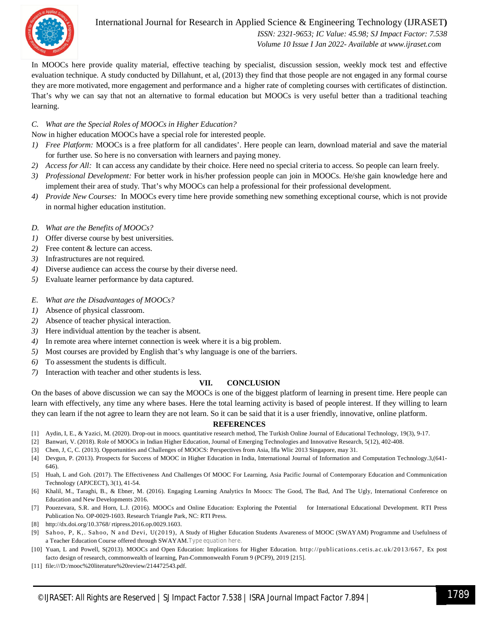

International Journal for Research in Applied Science & Engineering Technology (IJRASET**)**

 *ISSN: 2321-9653; IC Value: 45.98; SJ Impact Factor: 7.538 Volume 10 Issue I Jan 2022- Available at www.ijraset.com*

In MOOCs here provide quality material, effective teaching by specialist, discussion session, weekly mock test and effective evaluation technique. A study conducted by Dillahunt, et al, (2013) they find that those people are not engaged in any formal course they are more motivated, more engagement and performance and a higher rate of completing courses with certificates of distinction. That's why we can say that not an alternative to formal education but MOOCs is very useful better than a traditional teaching learning.

#### *C. What are the Special Roles of MOOCs in Higher Education?*

Now in higher education MOOCs have a special role for interested people.

- *1) Free Platform:* MOOCs is a free platform for all candidates'. Here people can learn, download material and save the material for further use. So here is no conversation with learners and paying money.
- *2) Access for All:* It can access any candidate by their choice. Here need no special criteria to access. So people can learn freely.
- *3) Professional Development:* For better work in his/her profession people can join in MOOCs. He/she gain knowledge here and implement their area of study. That's why MOOCs can help a professional for their professional development.
- *4) Provide New Courses:* In MOOCs every time here provide something new something exceptional course, which is not provide in normal higher education institution.
- *D. What are the Benefits of MOOCs?*
- *1)* Offer diverse course by best universities.
- *2)* Free content & lecture can access.
- *3)* Infrastructures are not required.
- *4)* Diverse audience can access the course by their diverse need.
- *5)* Evaluate learner performance by data captured.
- *E. What are the Disadvantages of MOOCs?*
- *1)* Absence of physical classroom.
- *2)* Absence of teacher physical interaction.
- *3)* Here individual attention by the teacher is absent.
- *4)* In remote area where internet connection is week where it is a big problem.
- *5)* Most courses are provided by English that's why language is one of the barriers.
- *6)* To assessment the students is difficult.
- *7)* Interaction with teacher and other students is less.

#### **VII. CONCLUSION**

On the bases of above discussion we can say the MOOCs is one of the biggest platform of learning in present time. Here people can learn with effectively, any time any where bases. Here the total learning activity is based of people interest. If they willing to learn they can learn if the not agree to learn they are not learn. So it can be said that it is a user friendly, innovative, online platform.

#### **REFERENCES**

- [1] Aydin, I, E., & Yazici, M. (2020). Drop-out in moocs. quantitative research method, The Turkish Online Journal of Educational Technology, 19(3), 9-17.
- [2] Banwari, V. (2018). Role of MOOCs in Indian Higher Education, Journal of Emerging Technologies and Innovative Research, 5(12), 402-408.
- [3] Chen, J, C, C. (2013). Opportunities and Challenges of MOOCS: Perspectives from Asia, Ifla Wlic 2013 Singapore, may 31.
- [4] Devgun, P. (2013). Prospects for Success of MOOC in Higher Education in India, International Journal of Information and Computation Technology.3,(641- 646).
- [5] Huah, L and Goh. (2017). The Effectiveness And Challenges Of MOOC For Learning, Asia Pacific Journal of Contemporary Education and Communication Technology (APJCECT), 3(1), 41-54.
- [6] Khalil, M., Taraghi, B., & Ebner, M. (2016). Engaging Learning Analytics In Moocs: The Good, The Bad, And The Ugly, International Conference on Education and New Developments 2016.
- [7] Pouezevara, S.R. and Horn, L.J. (2016). MOOCs and Online Education: Exploring the Potential for International Educational Development. RTI Press Publication No. OP-0029-1603. Research Triangle Park, NC: RTI Press.
- [8] http://dx.doi.org/10.3768/ rtipress.2016.op.0029.1603.
- [9] Sahoo, P, K,. Sahoo, N and Devi, U(2019), A Study of Higher Education Students Awareness of MOOC (SWAYAM) Programme and Usefulness of a Teacher Education Course offered through SWAYAM.Type equation here.
- [10] Yuan, L and Powell, S(2013). MOOCs and Open Education: Implications for Higher Education. http://publications.cetis.a c.uk/2013/667, Ex post facto design of research, commonwealth of learning, Pan-Commonwealth Forum 9 (PCF9), 2019 [215].
- [11] file:///D:/mooc%20literature%20review/214472543.pdf.